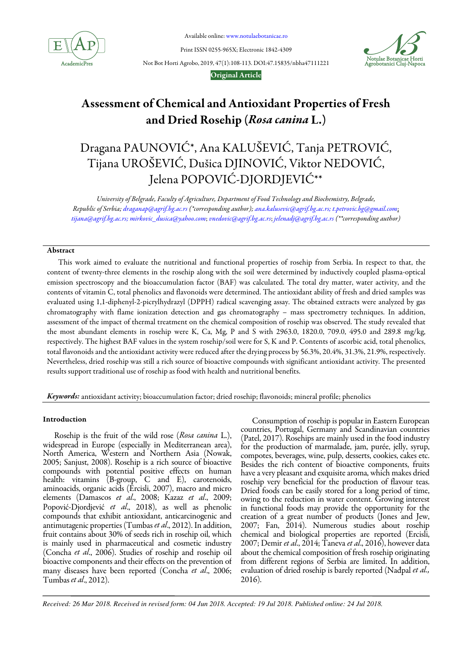

Available online: www.notulaebotanicae.ro

Print ISSN 0255-965X; Electronic 1842-4309



Not Bot Horti Agrobo, 2019, 47(1):108-113. DOI:47.15835/nbha47111221

# Original Article

# Assessment of Chemical and Antioxidant Properties of Fresh and Dried Rosehip (Rosa canina L.)

# Dragana PAUNOVIĆ\*, Ana KALUŠEVIĆ, Tanja PETROVIĆ, Tijana UROŠEVIĆ, Dušica DJINOVIĆ, Viktor NEDOVIĆ, Jelena POPOVIĆ-DJORDJEVIĆ\*\*

University of Belgrade, Faculty of Agriculture, Department of Food Technology and Biochemistry, Belgrade, Republic of Serbia; draganap@agrif.bg.ac.rs (\*corresponding author); ana.kalusevic@agrif.bg.ac.rs; t.petrovic.bg@gmail.com; tijana@agrif.bg.ac.rs; mirkovic\_dusica@yahoo.com; vnedovic@agrif.bg.ac.rs; jelenadj@agrif.bg.ac.rs (\*\*corresponding author)

# Abstract

This work aimed to evaluate the nutritional and functional properties of rosehip from Serbia. In respect to that, the content of twenty-three elements in the rosehip along with the soil were determined by inductively coupled plasma-optical emission spectroscopy and the bioaccumulation factor (BAF) was calculated. The total dry matter, water activity, and the contents of vitamin C, total phenolics and flavonoids were determined. The antioxidant ability of fresh and dried samples was evaluated using 1,1-diphenyl-2-picrylhydrazyl (DPPH) radical scavenging assay. The obtained extracts were analyzed by gas chromatography with flame ionization detection and gas chromatography – mass spectrometry techniques. In addition, assessment of the impact of thermal treatment on the chemical composition of rosehip was observed. The study revealed that the most abundant elements in rosehip were K, Ca, Mg, P and S with 2963.0, 1820.0, 709.0, 495.0 and 289.8 mg/kg, respectively. The highest BAF values in the system rosehip/soil were for S, K and P. Contents of ascorbic acid, total phenolics, total flavonoids and the antioxidant activity were reduced after the drying process by 56.3%, 20.4%, 31.3%, 21.9%, respectively. Nevertheless, dried rosehip was still a rich source of bioactive compounds with significant antioxidant activity. The presented results support traditional use of rosehip as food with health and nutritional benefits.

Keywords: antioxidant activity; bioaccumulation factor; dried rosehip; flavonoids; mineral profile; phenolics

# Introduction

Rosehip is the fruit of the wild rose (Rosa canina L.), widespread in Europe (especially in Mediterranean area), North America, Western and Northern Asia (Nowak, 2005; Sanjust, 2008). Rosehip is a rich source of bioactive compounds with potential positive effects on human health: vitamins (B-group, C and E), carotenoids, aminoacids, organic acids (Ercisli, 2007), macro and micro elements (Damascos et al., 2008; Kazaz et al., 2009; Popović-Djordjević et al., 2018), as well as phenolic compounds that exhibit antioxidant, anticarcinogenic and antimutagenic properties (Tumbas et al., 2012). In addition, fruit contains about 30% of seeds rich in rosehip oil, which is mainly used in pharmaceutical and cosmetic industry (Concha et al., 2006). Studies of rosehip and rosehip oil bioactive components and their effects on the prevention of many diseases have been reported (Concha et al., 2006; Tumbas et al., 2012).

Consumption of rosehip is popular in Eastern European countries, Portugal, Germany and Scandinavian countries (Patel, 2017). Rosehips are mainly used in the food industry for the production of marmalade, jam, purée, jelly, syrup, compotes, beverages, wine, pulp, desserts, cookies, cakes etc. Besides the rich content of bioactive components, fruits have a very pleasant and exquisite aroma, which makes dried rosehip very beneficial for the production of flavour teas. Dried foods can be easily stored for a long period of time, owing to the reduction in water content. Growing interest in functional foods may provide the opportunity for the creation of a great number of products (Jones and Jew, 2007; Fan, 2014). Numerous studies about rosehip chemical and biological properties are reported (Ercisli, 2007; Demir et al., 2014; Taneva et al., 2016), however data about the chemical composition of fresh rosehip originating from different regions of Serbia are limited. In addition, evaluation of dried rosehip is barely reported (Nađpal et al., 2016).

*Received: 26 Mar 2018. Received in revised form: 04 Jun 2018. Accepted: 19 Jul 2018. Published online: 24 Jul 2018.*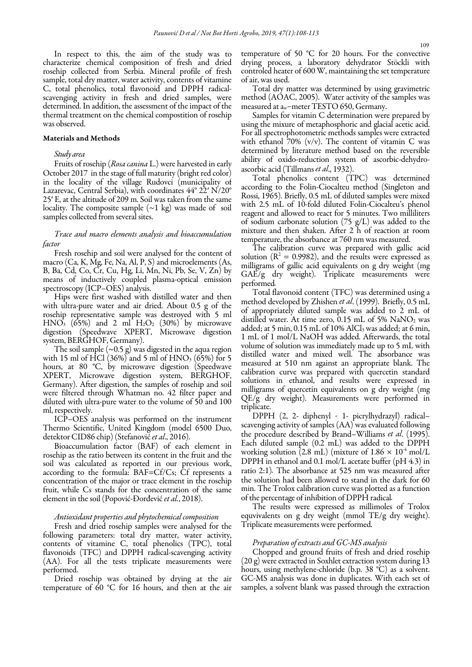In respect to this, the aim of the study was to characterize chemical composition of fresh and dried rosehip collected from Serbia. Mineral profile of fresh sample, total dry matter, water activity, contents of vitamine C, total phenolics, total flavonoid and DPPH radicalscavenging activity in fresh and dried samples, were determined. In addition, the assessment of the impact of the thermal treatment on the chemical compostition of rosehip was observed.

#### Materials and Methods

## Study area

Fruits of rosehip (Rosa canina L.) were harvested in early October 2017 in the stage of full maturity (bright red color) in the locality of the village Rudovci (municipality of Lazarevac, Central Serbia), with coordinates 44° 22′ N/20° 25′ E, at the altitude of 209 m. Soil was taken from the same locality. The composite sample  $(\sim 1 \text{ kg})$  was made of soil samples collected from several sites.

## Trace and macro elements analysis and bioaccumulation factor

Fresh rosehip and soil were analysed for the content of macro (Ca, K, Mg, Fe, Na, Al, P, S) and microelements (As, B, Ba, Cd, Co, Cr, Cu, Hg, Li, Mn, Ni, Pb, Se, V, Zn) by means of inductively coupled plasma-optical emission spectroscopy (ICP–OES) analysis.

Hips were first washed with distilled water and then with ultra-pure water and air dried. About 0.5 g of the rosehip representative sample was destroyed with 5 ml  $HNO<sub>3</sub>$  (65%) and 2 ml  $H<sub>2</sub>O<sub>2</sub>$  (30%) by microwave digestion (Speedwave XPERT, Microwave digestion system, BERGHOF, Germany).

The soil sample  $(\sim 0.5 \text{ g})$  was digested in the aqua region with 15 ml of HCl  $(36\%)$  and 5 ml of HNO<sub>3</sub> (65%) for 5 hours, at 80 °C, by microwave digestion (Speedwave XPERT, Microwave digestion system, BERGHOF, Germany). After digestion, the samples of rosehip and soil were filtered through Whatman no. 42 filter paper and diluted with ultra-pure water to the volume of 50 and 100 ml, respectively.

ICP–OES analysis was performed on the instrument Thermo Scientific, United Kingdom (model 6500 Duo, detektor CID86 chip) (Stefanović et al., 2016).

Bioaccumulation factor (BAF) of each element in rosehip as the ratio between its content in the fruit and the soil was calculated as reported in our previous work, according to the formula: BAF=Cf/Cs; Cf represents a concentration of the major or trace element in the rosehip fruit, while Cs stands for the concentration of the same element in the soil (Popović-Đorđević et al., 2018).

#### Antioxidant properties and phytochemical composition

Fresh and dried rosehip samples were analysed for the following parameters: total dry matter, water activity, contents of vitamine C, total phenolics (TPC), total flavonoids (TFC) and DPPH radical-scavenging activity (AA). For all the tests triplicate measurements were performed.

Dried rosehip was obtained by drying at the air temperature of 60 °C for 16 hours, and then at the air temperature of 50 °C for 20 hours. For the convective drying process, a laboratory dehydrator Stöckli with controled heater of 600 W, maintaining the set temperature of air, was used.

Total dry matter was determined by using gravimetric method (AOAC, 2005). Water activity of the samples was measured at aw–meter TESTO 650, Germany.

Samples for vitamin C determination were prepared by using the mixure of metaphosphoric and glacial acetic acid. For all spectrophotometric methods samples were extracted with ethanol  $70\%$  (v/v). The content of vitamin C was determined by literature method based on the reversible ability of oxido-reduction system of ascorbic-dehydroascorbic acid (Tillmans et al., 1932).

Total phenolics content (TPC) was determined according to the Folin-Ciocalteu method (Singleton and Rossi, 1965). Briefly, 0.5 mL of diluted samples were mixed with 2.5 mL of 10-fold diluted Folin-Ciocalteu's phenol reagent and allowed to react for 5 minutes. Two milliliters of sodium carbonate solution  $(75 \text{ g/L})$  was added to the mixture and then shaken. After 2 h of reaction at room temperature, the absorbance at 760 nm was measured.

The calibration curve was prepared with gallic acid solution ( $\mathbb{R}^2 = 0.9982$ ), and the results were expressed as milligrams of gallic acid equivalents on g dry weight (mg GAE/g dry weight). Triplicate measurements were performed.

Total flavonoid content (TFC) was determined using a method developed by Zhishen *et al.* (1999). Briefly, 0.5 mL of appropriately diluted sample was added to 2 mL of distilled water. At time zero,  $0.15$  mL of 5% NaNO<sub>2</sub> was added; at 5 min,  $0.15$  mL of  $10\%$  AlCl<sub>3</sub> was added; at 6 min, 1 mL of 1 mol/L NaOH was added. Afterwards, the total volume of solution was immediately made up to 5 mL with distilled water and mixed well. The absorbance was measured at 510 nm against an appropriate blank. The calibration curve was prepared with quercetin standard solutions in ethanol, and results were expressed in milligrams of quercetin equivalents on g dry weight (mg QE/g dry weight). Measurements were performed in triplicate.

DPPH (2, 2- diphenyl - 1- picrylhydrazyl) radical– scavenging activity of samples (AA) was evaluated following the procedure described by Brand–Williams et al. (1995). Each diluted sample (0.2 mL) was added to the DPPH working solution (2.8 mL) (mixture of  $1.86 \times 10^4$  mol/L DPPH in ethanol and 0.1 mol/L acetate buffer (pH 4.3) in ratio 2:1). The absorbance at 525 nm was measured after the solution had been allowed to stand in the dark for 60 min. The Trolox calibration curve was plotted as a function of the percentage of inhibition of DPPH radical.

The results were expressed as millimoles of Trolox equvivalents on g dry weight (mmol TE/g dry weight). Triplicate measurements were performed.

## Preparation of extracts and GC-MS analysis

Chopped and ground fruits of fresh and dried rosehip (20 g) were extracted in Soxhlet extraction system during 13 hours, using methylene-chloride (b.p. 38 °C) as a solvent. GC-MS analysis was done in duplicates. With each set of samples, a solvent blank was passed through the extraction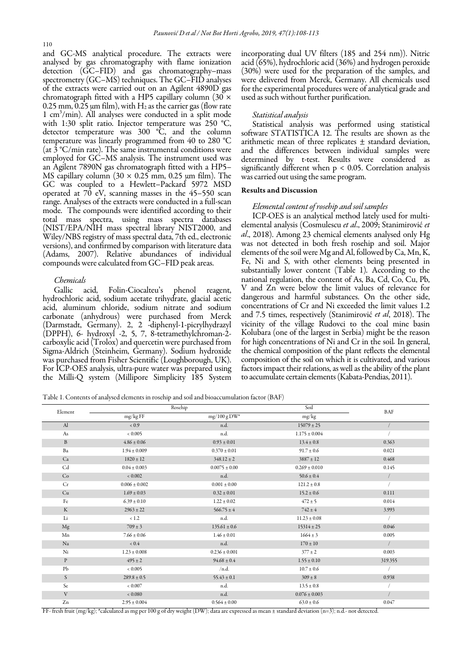and GC-MS analytical procedure. The extracts were analysed by gas chromatography with flame ionization detection (GC–FID) and gas chromatography–mass spectrometry (GC–MS) techniques. The GC–FID analyses of the extracts were carried out on an Agilent 4890D gas chromatograph fitted with a HP5 capillary column (30  $\times$ 0.25 mm, 0.25  $\mu$ m film), with H<sub>2</sub> as the carrier gas (flow rate 1 cm<sup>3</sup> /min). All analyses were conducted in a split mode with 1:30 split ratio. Injector temperature was 250 °C, detector temperature was 300 °C, and the column temperature was linearly programmed from 40 to 280 °C (at  $\hat{3}$  °C/min rate). The same instrumental conditions were employed for GC–MS analysis. The instrument used was an Agilent 7890N gas chromatograph fitted with a HP5– MS capillary column  $(30 \times 0.25 \text{ mm}, 0.25 \text{ mm film})$ . The GC was coupled to a Hewlett–Packard 5972 MSD operated at  $70$  eV, scanning masses in the  $45-550$  scan range. Analyses of the extracts were conducted in a full-scan mode. The compounds were identified according to their total mass spectra, using mass spectra databases (NIST/EPA/NIH mass spectral library NIST2000, and Wiley/NBS registry of mass spectral data, 7th ed., electronic versions), and confirmed by comparison with literature data (Adams, 2007). Relative abundances of individual compounds were calculated from GC–FID peak areas.

### Chemicals

Gallic acid, Folin-Ciocalteu's phenol reagent, hydrochloric acid, sodium acetate trihydrate, glacial acetic acid, aluminum chloride, sodium nitrate and sodium carbonate (anhydrous) were purchased from Merck (Darmstadt, Germany). 2, 2 -diphenyl-1-picrylhydrazyl (DPPH), 6- hydroxyl -2, 5, 7, 8-tetramethylchroman-2 carboxylic acid (Trolox) and quercetin were purchased from Sigma-Aldrich (Steinheim, Germany). Sodium hydroxide was purchased from Fisher Scientific (Loughborough, UK). For ICP-OES analysis, ultra-pure water was prepared using the Milli-Q system (Millipore Simplicity 185 System

incorporating dual UV filters (185 and 254 nm)). Nitric acid (65%), hydrochloric acid (36%) and hydrogen peroxide (30%) were used for the preparation of the samples, and were delivered from Merck, Germany. All chemicals used for the experimental procedures were of analytical grade and used as such without further purification.

### Statistical analysis

Statistical analysis was performed using statistical software STATISTICA 12. The results are shown as the arithmetic mean of three replicates ± standard deviation, and the differences between individual samples were determined by t-test. Results were considered as significantly different when p < 0.05. Correlation analysis was carried out using the same program.

#### Results and Discussion

#### Elemental content of rosehip and soil samples

ICP-OES is an analytical method lately used for multielemental analysis (Cosmulescu et al., 2009; Stanimirović et al., 2018). Among 23 chemical elements analysed only Hg was not detected in both fresh rosehip and soil. Major elements of the soil were Mg and Al, followed by Ca, Mn, K, Fe, Ni and S, with other elements being presented in substantially lower content (Table 1). According to the national regulation, the content of As, Ba, Cd, Co, Cu, Pb, V and Zn were below the limit values of relevance for dangerous and harmful substances. On the other side, concentrations of Cr and Ni exceeded the limit values 1.2 and 7.5 times, respectively (Stanimirović et al, 2018). The vicinity of the village Rudovci to the coal mine basin Kolubara (one of the largest in Serbia) might be the reason for high concentrations of Ni and Cr in the soil. In general, the chemical composition of the plant reflects the elemental composition of the soil on which it is cultivated, and various factors impact their relations, as well as the ability of the plant to accumulate certain elements (Kabata-Pendias, 2011).

Table 1. Contents of analysed elements in rosehip and soil and bioaccumulation factor (BAF)

| Element      |                   | Roschip           | Soil              | <b>BAF</b> |
|--------------|-------------------|-------------------|-------------------|------------|
|              | mg/kg FF          | $mg/100 gDW^*$    | mg/kg             |            |
| $\mathbf{A}$ | < 0.9             | n.d.              | $15079 \pm 25$    |            |
| As           | 0.005             | n.d.              | $1.175 \pm 0.004$ |            |
| $\, {\bf B}$ | $4.86 \pm 0.06$   | $0.93 \pm 0.01$   | $13.4 \pm 0.8$    | 0.363      |
| Ba           | $1.94 \pm 0.009$  | $0.370 \pm 0.01$  | $91.7 \pm 0.6$    | 0.021      |
| Ca           | $1820 \pm 12$     | $348.12 \pm 2$    | $3887 \pm 12$     | 0.468      |
| Cd           | $0.04 \pm 0.003$  | $0.0075 \pm 0.00$ | $0.269 \pm 0.010$ | 0.145      |
| Co           | 0.002             | n.d.              | $50.6 \pm 0.4$    |            |
| Cr           | $0.006 \pm 0.002$ | $0.001\pm0.00$    | $121.2 \pm 0.8$   |            |
| Cu           | $1.69 \pm 0.03$   | $0.32 \pm 0.01$   | $15.2 \pm 0.6$    | 0.111      |
| Fe           | $6.39 \pm 0.10$   | $1.22 \pm 0.02$   | $472 \pm 5$       | 0.014      |
| $\rm K$      | $2963 \pm 22$     | $566.75 \pm 4$    | $742 \pm 4$       | 3.993      |
| Li           | < 1.2             | n.d.              | $11.23 \pm 0.08$  |            |
| Mg           | $709 \pm 3$       | $135.61 \pm 0.6$  | $15314 \pm 25$    | 0.046      |
| Mn           | $7.66 \pm 0.06$   | $1.46 \pm 0.01$   | $1664 \pm 3$      | 0.005      |
| Na           | $< 0.4$           | n.d.              | $170 \pm 10$      |            |
| Ni           | $1.23 \pm 0.008$  | $0.236 \pm 0.001$ | $377 \pm 2$       | 0.003      |
| $\mathbf{P}$ | $495 \pm 2$       | $94.68 \pm 0.4$   | $1.55 \pm 0.10$   | 319.355    |
| Pb           | 0.005             | /nd.              | $10.7 \pm 0.6$    |            |
| S            | $289.8 \pm 0.5$   | $55.43 \pm 0.1$   | $309 \pm 8$       | 0.938      |
| Se           | ${}< 0.007$       | n.d.              | $13.5 \pm 0.8$    |            |
| V            | 0.080             | n.d.              | $0.076 \pm 0.003$ |            |
| Zn           | $2.95 \pm 0.004$  | $0.564 \pm 0.00$  | $63.0 \pm 0.6$    | 0.047      |

FF-fresh fruit (mg/kg); <sup>#</sup>calculated as mg per 100 g of dry weight (DW); data are expressed as mean ± standard deviation (n=3); n.d.- not detected.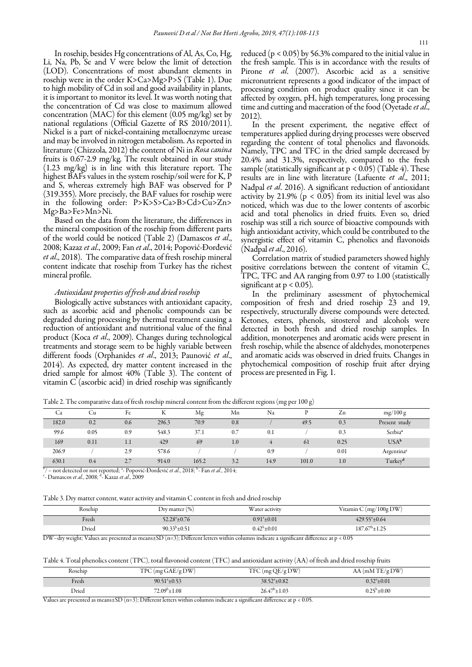In rosehip, besides Hg concentrations of Al, As, Co, Hg, Li, Na, Pb, Se and V were below the limit of detection (LOD). Concentrations of most abundant elements in rosehip were in the order K>Ca>Mg>P>S (Table 1). Due to high mobility of Cd in soil and good availability in plants, it is important to monitor its level. It was worth noting that the concentration of Cd was close to maximum allowed concentration (MAC) for this element (0.05 mg/kg) set by national regulations (Official Gazette of RS 2010/2011). Nickel is a part of nickel-containing metalloenzyme urease and may be involved in nitrogen metabolism. As reported in literature (Chizzola, 2012) the content of Ni in Rosa canina fruits is 0.67-2.9 mg/kg. The result obtained in our study (1.23 mg/kg) is in line with this literature report. The highest BAFs values in the system rosehip/soil were for K, P and S, whereas extremely high BAF was observed for P (319.355). More precisely, the BAF values for rosehip were in the following order: P>K>S>Ca>B>Cd>Cu>Zn> Mg>Ba>Fe>Mn>Ni.

Based on the data from the literature, the differences in the mineral composition of the rosehip from different parts of the world could be noticed (Table 2) (Damascos et al., 2008; Kazaz et al., 2009; Fan et al., 2014; Popović-Đorđević et al., 2018). The comparative data of fresh rosehip mineral content indicate that rosehip from Turkey has the richest mineral profile.

#### Antioxidant properties of fresh and dried rosehip

Biologically active substances with antioxidant capacity, such as ascorbic acid and phenolic compounds can be degraded during processing by thermal treatment causing a reduction of antioxidant and nutritional value of the final product (Koca et al., 2009). Changes during technological treatments and storage seem to be highly variable between different foods (Orphanides et al., 2013; Paunović et al., 2014). As expected, dry matter content increased in the dried sample for almost 40% (Table 3). The content of vitamin C (ascorbic acid) in dried rosehip was significantly reduced (p < 0.05) by 56.3% compared to the initial value in the fresh sample. This is in accordance with the results of Pirone et al. (2007). Ascorbic acid as a sensitive micronutrient represents a good indicator of the impact of processing condition on product quality since it can be affected by oxygen, pH, high temperatures, long processing time and cutting and maceration of the food (Oyetade et al., 2012).

In the present experiment, the negative effect of temperatures applied during drying processes were observed regarding the content of total phenolics and flavonoids. Namely, TPC and TFC in the dried sample decreased by 20.4% and 31.3%, respectively, compared to the fresh sample (statistically significant at  $p < 0.05$ ) (Table 4). These results are in line with literature (Lafuente et al., 2011; Nađpal et al. 2016). A significant reduction of antioxidant activity by 21.9% ( $p < 0.05$ ) from its initial level was also noticed, which was due to the lower contents of ascorbic acid and total phenolics in dried fruits. Even so, dried rosehip was still a rich source of bioactive compounds with high antioxidant activity, which could be contributed to the synergistic effect of vitamin C, phenolics and flavonoids (Nađpal *et al.*, 2016).

Correlation matrix of studied parameters showed highly positive correlations between the content of vitamin C, TPC, TFC and AA ranging from 0.97 to 1.00 (statistically significant at  $p < 0.05$ ).

In the preliminary assessment of phytochemical composition of fresh and dried rosehip 23 and 19, respectively, structurally diverse compounds were detected. Ketones, esters, phenols, sitosterol and alcohols were detected in both fresh and dried rosehip samples. In addition, monoterpenes and aromatic acids were present in fresh rosehip, while the absence of aldehydes, monoterpenes and aromatic acids was observed in dried fruits. Changes in phytochemical composition of rosehip fruit after drying process are presented in Fig. 1.

Table 2. The comparative data of fresh rosehip mineral content from the different regions (mg per 100 g)

|                          |      |                                           |       |        |                                                  | $\checkmark$<br>$\sim$ $\sim$ $\sim$ | $\sim$ |            |                        |
|--------------------------|------|-------------------------------------------|-------|--------|--------------------------------------------------|--------------------------------------|--------|------------|------------------------|
| Ċа                       | Сu   | Fe                                        | л     | Mg     | Mn                                               | Na                                   |        | $\angle$ n | mg/100g                |
| 182.0                    | 0.2  | 0.6                                       | 296.3 | 70.9   | 0.8                                              |                                      | 49.5   | 0.3        | Present study          |
| 99.6                     | 0.05 | 0.9                                       | 548.3 | 37.1   | 0.7                                              | 0.1                                  |        | 0.3        | Serbia <sup>ª</sup>    |
| 169                      | 0.11 | 1.1                                       | 429   | 69     | 1.0                                              |                                      | -61    | 0.25       | $USA^b$                |
| 206.9                    |      | 2.9                                       | 578.6 |        |                                                  | 0.9                                  |        | 0.01       | Argentina <sup>c</sup> |
| 630.1                    | 0.4  | 2.7                                       | 914.0 | 165.2  | 3.2                                              | 14.9                                 | 101.0  | 1.0        | Turkey <sup>d</sup>    |
| $\overline{\phantom{a}}$ |      | $\sim$ $\sim$ $\sim$ $\sim$ $\sim$ $\sim$ |       | ______ | $\sim$ $\sim$ $\sim$ $\sim$ $\sim$ $\sim$ $\sim$ |                                      |        |            |                        |

# / – not detected or not reported; <sup>a</sup>- Popović-Đorđević *et al.*, 2018; <sup>b</sup>- Fan *et al.*, 2014;

<sup>c</sup>- Damascos *et al.*, 2008; <sup>d</sup>-Kazaz *et al.*, 2009

Table 3. Dry matter content, water activity and vitamin C content in fresh and dried rosehip

| Rosehip | Dry matter $(\% )$            | Water activity       | Vitamin C $(mg/100g$ DW)  |
|---------|-------------------------------|----------------------|---------------------------|
| Fresh   | 52.28 <sup>a</sup> $\pm$ 0.76 | $0.91^{\circ}$ ±0.01 | $429.55^{\circ} \pm 0.64$ |
| Dried   | $90.33^b \pm 0.51$            | $0.42^b \pm 0.01$    | $187.67^{\circ}$ ±1.25    |

DW–dry weight; Values are presented as means $\pm$ SD (n=3); Different letters within columns indicate a significant difference at p < 0.05

|  |  |  |  |  |  |  |  |  |  |  |  |  |  |  | Table 4. Total phenolics content (TPC), total flavonoid content (TFC) and antioxidant activity (AA) of fresh and dried rosehip fruits |  |  |  |  |  |  |  |  |  |  |  |  |  |  |  |  |  |  |
|--|--|--|--|--|--|--|--|--|--|--|--|--|--|--|---------------------------------------------------------------------------------------------------------------------------------------|--|--|--|--|--|--|--|--|--|--|--|--|--|--|--|--|--|--|
|--|--|--|--|--|--|--|--|--|--|--|--|--|--|--|---------------------------------------------------------------------------------------------------------------------------------------|--|--|--|--|--|--|--|--|--|--|--|--|--|--|--|--|--|--|

| Rosehip | $TPC$ (mg GAE/g DW)      | $TFC \left( \text{mg} \, \text{QE/g} \, \text{DW} \right)$ | $AA$ (mM TE/g DW)       |
|---------|--------------------------|------------------------------------------------------------|-------------------------|
| Fresh   | $90.51^{\circ} \pm 0.53$ | $38.52^{\circ} \pm 0.82$                                   | $0.32^{\circ} \pm 0.01$ |
| Dried   | $72.09^{\rm b} \pm 1.08$ | $26.47^{\circ} \pm 1.03$                                   | $0.25^{\rm b}$ ± $0.00$ |

Values are presented as means $\pm$ SD (n=3); Different letters within columns indicate a significant difference at p < 0.05.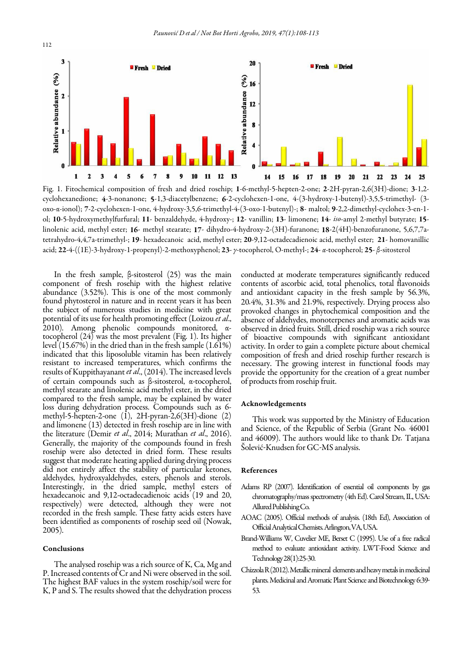

Fig. 1. Fitochemical composition of fresh and dried rosehip; 1-6-methyl-5-hepten-2-one; 2-2H-pyran-2,6(3H)-dione; 3-1,2 cyclohexanedione; 4-3-nonanone; 5-1,3-diacetylbenzene; 6-2-cyclohexen-1-one, 4-(3-hydroxy-1-butenyl)-3,5,5-trimethyl- (3 oxo-α-ionol); 7-2-cyclohexen-1-one, 4-hydroxy-3,5,6-trimethyl-4-(3-oxo-1-butenyl)-; 8- maltol; 9-2,2-dimethyl-cyclohex-3-en-1 ol; 10-5-hydroxymethylfurfural; 11- benzaldehyde, 4-hydroxy-; 12- vanillin; 13- limonene; 14- iso-amyl 2-methyl butyrate; 15 linolenic acid, methyl ester; 16- methyl stearate; 17- dihydro-4-hydroxy-2-(3H)-furanone; 18-2(4H)-benzofuranone, 5,6,7,7atetrahydro-4,4,7a-trimethyl-; 19- hexadecanoic acid, methyl ester; 20-9,12-octadecadienoic acid, methyl ester; 21- homovanillic acid; 22-4-((1E)-3-hydroxy-1-propenyl)-2-methoxyphenol; 23- γ-tocopherol, O-methyl-; 24- α-tocopherol; 25- β-sitosterol

 compared to the fresh sample, may be explained by water In the fresh sample, β-sitosterol (25) was the main component of fresh rosehip with the highest relative abundance  $(3.52\%)$ . This is one of the most commonly found phytosterol in nature and in recent years it has been the subject of numerous studies in medicine with great potential of its use for health promoting effect (Loizou et al., 2010). Among phenolic compounds monitored, αtocopherol (24) was the most prevalent (Fig. 1). Its higher level (15.67%) in the dried than in the fresh sample (1.61%) indicated that this liposoluble vitamin has been relatively resistant to increased temperatures, which confirms the results of Kuppithayanant et al., (2014). The increased levels of certain compounds such as β-sitosterol, α-tocopherol, methyl stearate and linolenic acid methyl ester, in the dried loss during dehydration process. Compounds such as 6 methyl-5-hepten-2-one  $(1)$ , 2H-pyran-2,6(3H)-dione  $(2)$ and limonene (13) detected in fresh rosehip are in line with the literature (Demir et al., 2014; Murathan et al., 2016). Generally, the majority of the compounds found in fresh rosehip were also detected in dried form. These results suggest that moderate heating applied during drying process did not entirely affect the stability of particular ketones, aldehydes, hydroxyaldehydes, esters, phenols and sterols. Interestingly, in the dried sample, methyl esters of hexadecanoic and 9,12-octadecadienoic acids (19 and 20, respectively) were detected, although they were not recorded in the fresh sample. These fatty acids esters have been identified as components of rosehip seed oil (Nowak, 2005).

# Conclusions

The analysed rosehip was a rich source of K, Ca, Mg and P. Increased contents of Cr and Ni were observed in the soil. The highest BAF values in the system rosehip/soil were for K, P and S. The results showed that the dehydration process conducted at moderate temperatures significantly reduced contents of ascorbic acid, total phenolics, total flavonoids and antioxidant capacity in the fresh sample by 56.3%, 20.4%, 31.3% and 21.9%, respectively. Drying process also provoked changes in phytochemical composition and the absence of aldehydes, monoterpenes and aromatic acids was observed in dried fruits. Still, dried rosehip was a rich source of bioactive compounds with significant antioxidant activity. In order to gain a complete picture about chemical composition of fresh and dried rosehip further research is necessary. The growing interest in functional foods may provide the opportunity for the creation of a great number of products from rosehip fruit.

## Acknowledgements

This work was supported by the Ministry of Education and Science, of the Republic of Serbia (Grant No. 46001 and 46009). The authors would like to thank Dr. Tatjana Šolević-Knudsen for GC-MS analysis.

#### References

- Adams RP (2007). Identification of essential oil components by gas chromatography/mass spectrometry (4th Ed). Carol Stream, IL, USA: Allured Publishing Co.
- AOAC (2005). Official methods of analysis. (18th Ed), Association of Official Analytical Chemists. Arlington, VA, USA.
- Brand-Williams W, Cuvelier ME, Berset C (1995). Use of a free radical method to evaluate antioxidant activity. LWT-Food Science and Technology 28(1):25-30.
- Chizzola R (2012). Metallic mineral elements and heavy metals in medicinal plants. Medicinal and Aromatic Plant Science and Biotechnology 6:39- 53.